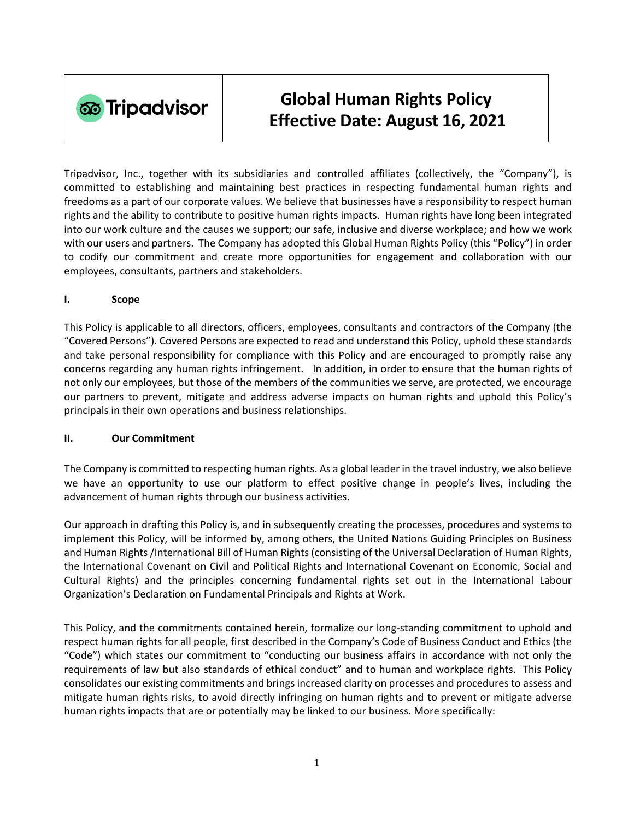

# **Global Human Rights Policy Effective Date: August 16, 2021**

Tripadvisor, Inc., together with its subsidiaries and controlled affiliates (collectively, the "Company"), is committed to establishing and maintaining best practices in respecting fundamental human rights and freedoms as a part of our corporate values. We believe that businesses have a responsibility to respect human rights and the ability to contribute to positive human rights impacts. Human rights have long been integrated into our work culture and the causes we support; our safe, inclusive and diverse workplace; and how we work with our users and partners. The Company has adopted this Global Human Rights Policy (this "Policy") in order to codify our commitment and create more opportunities for engagement and collaboration with our employees, consultants, partners and stakeholders.

#### **I. Scope**

This Policy is applicable to all directors, officers, employees, consultants and contractors of the Company (the "Covered Persons"). Covered Persons are expected to read and understand this Policy, uphold these standards and take personal responsibility for compliance with this Policy and are encouraged to promptly raise any concerns regarding any human rights infringement. In addition, in order to ensure that the human rights of not only our employees, but those of the members of the communities we serve, are protected, we encourage our partners to prevent, mitigate and address adverse impacts on human rights and uphold this Policy's principals in their own operations and business relationships.

#### **II. Our Commitment**

The Company is committed to respecting human rights. As a global leader in the travel industry, we also believe we have an opportunity to use our platform to effect positive change in people's lives, including the advancement of human rights through our business activities.

Our approach in drafting this Policy is, and in subsequently creating the processes, procedures and systems to implement this Policy, will be informed by, among others, the [United Nations Guiding Principles on Business](https://www.ohchr.org/documents/publications/guidingprinciplesbusinesshr_en.pdf)  [and Human Rights](https://www.ohchr.org/documents/publications/guidingprinciplesbusinesshr_en.pdf) [/International Bill of Human Rights](https://www.ohchr.org/documents/publications/compilation1.1en.pdf) (consisting of the Universal Declaration of Human Rights, the International Covenant on Civil and Political Rights and International Covenant on Economic, Social and Cultural Rights) and the principles concerning fundamental rights set out in the [International Labour](https://www.ilo.org/declaration/thedeclaration/textdeclaration/lang--en/index.htm)  [Organization's Declaration on](https://www.ilo.org/declaration/thedeclaration/textdeclaration/lang--en/index.htm) Fundamental Principals and Rights at Work.

This Policy, and the commitments contained herein, formalize our long-standing commitment to uphold and respect human rights for all people, first described in the Company's Code of Business Conduct and Ethics (the "Code") which states our commitment to "conducting our business affairs in accordance with not only the requirements of law but also standards of ethical conduct" and to human and workplace rights. This Policy consolidates our existing commitments and brings increased clarity on processes and procedures to assess and mitigate human rights risks, to avoid directly infringing on human rights and to prevent or mitigate adverse human rights impacts that are or potentially may be linked to our business. More specifically: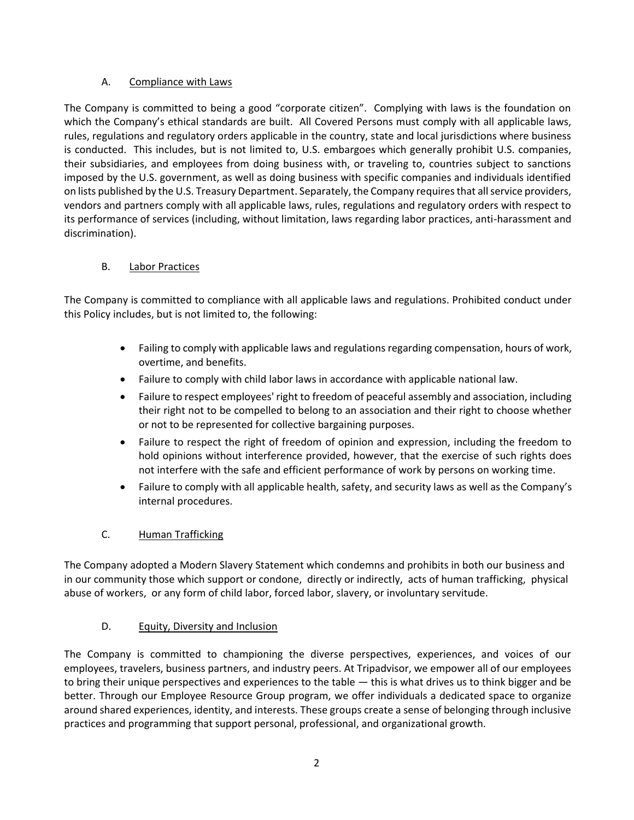## A. Compliance with Laws

The Company is committed to being a good "corporate citizen". Complying with laws is the foundation on which the Company's ethical standards are built. All Covered Persons must comply with all applicable laws, rules, regulations and regulatory orders applicable in the country, state and local jurisdictions where business is conducted. This includes, but is not limited to, U.S. embargoes which generally prohibit U.S. companies, their subsidiaries, and employees from doing business with, or traveling to, countries subject to sanctions imposed by the U.S. government, as well as doing business with specific companies and individuals identified on lists published by the U.S. Treasury Department. Separately, the Company requires that all service providers, vendors and partners comply with all applicable laws, rules, regulations and regulatory orders with respect to its performance of services (including, without limitation, laws regarding labor practices, anti-harassment and discrimination).

## B. Labor Practices

The Company is committed to compliance with all applicable laws and regulations. Prohibited conduct under this Policy includes, but is not limited to, the following:

- Failing to comply with applicable laws and regulations regarding compensation, hours of work, overtime, and benefits.
- Failure to comply with child labor laws in accordance with applicable national law.
- Failure to respect employees' right to freedom of peaceful assembly and association, including their right not to be compelled to belong to an association and their right to choose whether or not to be represented for collective bargaining purposes.
- Failure to respect the right of freedom of opinion and expression, including the freedom to hold opinions without interference provided, however, that the exercise of such rights does not interfere with the safe and efficient performance of work by persons on working time.
- Failure to comply with all applicable health, safety, and security laws as well as the Company's internal procedures.

# C. Human Trafficking

The Company adopted a Modern Slavery Statement which condemns and prohibits in both our business and in our community those which support or condone, directly or indirectly, acts of human trafficking, physical abuse of workers, or any form of child labor, forced labor, slavery, or involuntary servitude.

## D. Equity, Diversity and Inclusion

The Company is committed to championing the diverse perspectives, experiences, and voices of our employees, travelers, business partners, and industry peers. At Tripadvisor, we empower all of our employees to bring their unique perspectives and experiences to the table — this is what drives us to think bigger and be better. Through our Employee Resource Group program, we offer individuals a dedicated space to organize around shared experiences, identity, and interests. These groups create a sense of belonging through inclusive practices and programming that support personal, professional, and organizational growth.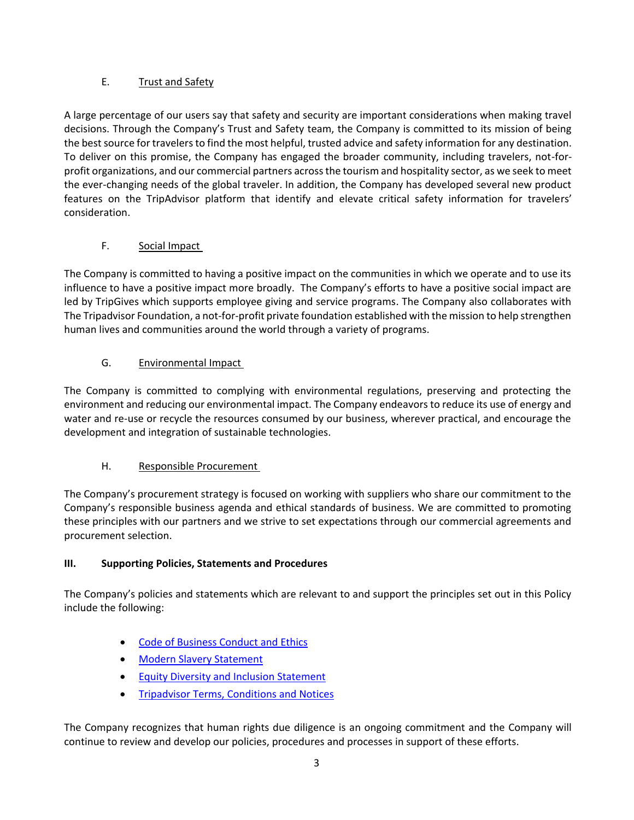## E. Trust and Safety

A large percentage of our users say that safety and security are important considerations when making travel decisions. Through the Company's Trust and Safety team, the Company is committed to its mission of being the best source for travelers to find the most helpful, trusted advice and safety information for any destination. To deliver on this promise, the Company has engaged the broader community, including travelers, not-forprofit organizations, and our commercial partners across the tourism and hospitality sector, as we seek to meet the ever-changing needs of the global traveler. In addition, the Company has developed several new product features on the TripAdvisor platform that identify and elevate critical safety information for travelers' consideration.

## F. Social Impact

The Company is committed to having a positive impact on the communities in which we operate and to use its influence to have a positive impact more broadly. The Company's efforts to have a positive social impact are led by TripGives which supports employee giving and service programs. The Company also collaborates with The Tripadvisor Foundation, a not-for-profit private foundation established with the mission to help strengthen human lives and communities around the world through a variety of programs.

## G. Environmental Impact

The Company is committed to complying with environmental regulations, preserving and protecting the environment and reducing our environmental impact. The Company endeavors to reduce its use of energy and water and re-use or recycle the resources consumed by our business, wherever practical, and encourage the development and integration of sustainable technologies.

# H. Responsible Procurement

The Company's procurement strategy is focused on working with suppliers who share our commitment to the Company's responsible business agenda and ethical standards of business. We are committed to promoting these principles with our partners and we strive to set expectations through our commercial agreements and procurement selection.

## **III. Supporting Policies, Statements and Procedures**

The Company's policies and statements which are relevant to and support the principles set out in this Policy include the following:

- [Code of Business Conduct and Ethics](https://ir.tripadvisor.com/static-files/c9552116-2cb5-4931-a831-49ff788da7ca)
- **[Modern Slavery Statement](https://ir.tripadvisor.com/static-files/ea879ac9-4a18-4db3-a896-c4a439661f98)**
- [Equity Diversity and Inclusion Statement](https://www.purpose.tripadvisor.com/diversity)
- **[Tripadvisor Terms, Conditions and Notices](https://tripadvisor.mediaroom.com/us-terms-of-use)**

The Company recognizes that human rights due diligence is an ongoing commitment and the Company will continue to review and develop our policies, procedures and processes in support of these efforts.